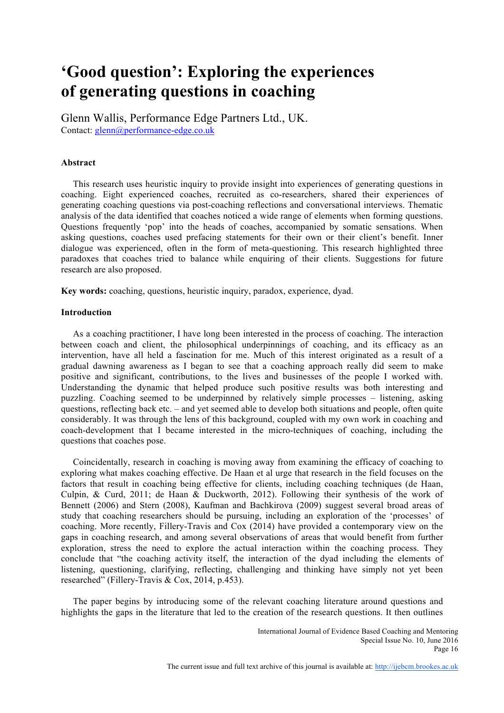# **'Good question': Exploring the experiences of generating questions in coaching**

Glenn Wallis, Performance Edge Partners Ltd., UK. Contact: glenn@performance-edge.co.uk

# **Abstract**

This research uses heuristic inquiry to provide insight into experiences of generating questions in coaching. Eight experienced coaches, recruited as co-researchers, shared their experiences of generating coaching questions via post-coaching reflections and conversational interviews. Thematic analysis of the data identified that coaches noticed a wide range of elements when forming questions. Questions frequently 'pop' into the heads of coaches, accompanied by somatic sensations. When asking questions, coaches used prefacing statements for their own or their client's benefit. Inner dialogue was experienced, often in the form of meta-questioning. This research highlighted three paradoxes that coaches tried to balance while enquiring of their clients. Suggestions for future research are also proposed.

**Key words:** coaching, questions, heuristic inquiry, paradox, experience, dyad.

## **Introduction**

As a coaching practitioner, I have long been interested in the process of coaching. The interaction between coach and client, the philosophical underpinnings of coaching, and its efficacy as an intervention, have all held a fascination for me. Much of this interest originated as a result of a gradual dawning awareness as I began to see that a coaching approach really did seem to make positive and significant, contributions, to the lives and businesses of the people I worked with. Understanding the dynamic that helped produce such positive results was both interesting and puzzling. Coaching seemed to be underpinned by relatively simple processes – listening, asking questions, reflecting back etc. – and yet seemed able to develop both situations and people, often quite considerably. It was through the lens of this background, coupled with my own work in coaching and coach-development that I became interested in the micro-techniques of coaching, including the questions that coaches pose.

Coincidentally, research in coaching is moving away from examining the efficacy of coaching to exploring what makes coaching effective. De Haan et al urge that research in the field focuses on the factors that result in coaching being effective for clients, including coaching techniques (de Haan, Culpin, & Curd, 2011; de Haan & Duckworth, 2012). Following their synthesis of the work of Bennett (2006) and Stern (2008), Kaufman and Bachkirova (2009) suggest several broad areas of study that coaching researchers should be pursuing, including an exploration of the 'processes' of coaching. More recently, Fillery-Travis and Cox (2014) have provided a contemporary view on the gaps in coaching research, and among several observations of areas that would benefit from further exploration, stress the need to explore the actual interaction within the coaching process. They conclude that "the coaching activity itself, the interaction of the dyad including the elements of listening, questioning, clarifying, reflecting, challenging and thinking have simply not yet been researched" (Fillery-Travis & Cox, 2014, p.453).

The paper begins by introducing some of the relevant coaching literature around questions and highlights the gaps in the literature that led to the creation of the research questions. It then outlines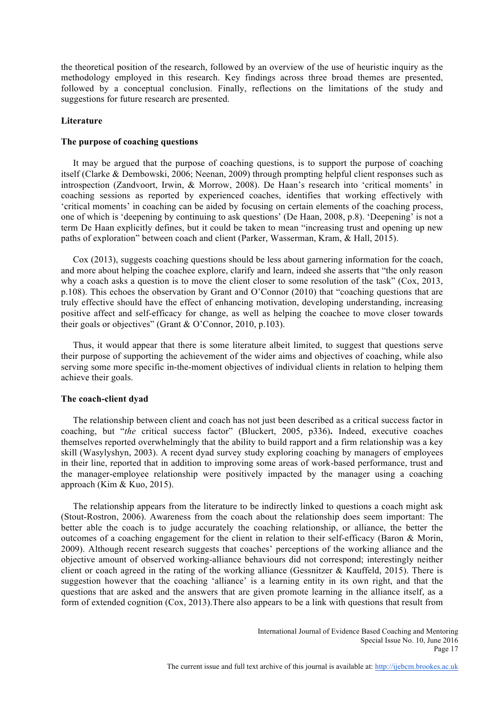the theoretical position of the research, followed by an overview of the use of heuristic inquiry as the methodology employed in this research. Key findings across three broad themes are presented, followed by a conceptual conclusion. Finally, reflections on the limitations of the study and suggestions for future research are presented.

#### **Literature**

#### **The purpose of coaching questions**

It may be argued that the purpose of coaching questions, is to support the purpose of coaching itself (Clarke & Dembowski, 2006; Neenan, 2009) through prompting helpful client responses such as introspection (Zandvoort, Irwin, & Morrow, 2008). De Haan's research into 'critical moments' in coaching sessions as reported by experienced coaches, identifies that working effectively with 'critical moments' in coaching can be aided by focusing on certain elements of the coaching process, one of which is 'deepening by continuing to ask questions' (De Haan, 2008, p.8). 'Deepening' is not a term De Haan explicitly defines, but it could be taken to mean "increasing trust and opening up new paths of exploration" between coach and client (Parker, Wasserman, Kram, & Hall, 2015).

Cox (2013), suggests coaching questions should be less about garnering information for the coach, and more about helping the coachee explore, clarify and learn, indeed she asserts that "the only reason why a coach asks a question is to move the client closer to some resolution of the task" (Cox, 2013, p.108). This echoes the observation by Grant and O'Connor (2010) that "coaching questions that are truly effective should have the effect of enhancing motivation, developing understanding, increasing positive affect and self-efficacy for change, as well as helping the coachee to move closer towards their goals or objectives" (Grant & O'Connor, 2010, p.103).

Thus, it would appear that there is some literature albeit limited, to suggest that questions serve their purpose of supporting the achievement of the wider aims and objectives of coaching, while also serving some more specific in-the-moment objectives of individual clients in relation to helping them achieve their goals.

#### **The coach-client dyad**

The relationship between client and coach has not just been described as a critical success factor in coaching, but "*the* critical success factor" (Bluckert, 2005, p336)**.** Indeed, executive coaches themselves reported overwhelmingly that the ability to build rapport and a firm relationship was a key skill (Wasylyshyn, 2003). A recent dyad survey study exploring coaching by managers of employees in their line, reported that in addition to improving some areas of work-based performance, trust and the manager-employee relationship were positively impacted by the manager using a coaching approach (Kim & Kuo, 2015).

The relationship appears from the literature to be indirectly linked to questions a coach might ask (Stout-Rostron, 2006). Awareness from the coach about the relationship does seem important: The better able the coach is to judge accurately the coaching relationship, or alliance, the better the outcomes of a coaching engagement for the client in relation to their self-efficacy (Baron & Morin, 2009). Although recent research suggests that coaches' perceptions of the working alliance and the objective amount of observed working-alliance behaviours did not correspond; interestingly neither client or coach agreed in the rating of the working alliance (Gessnitzer  $\&$  Kauffeld, 2015). There is suggestion however that the coaching 'alliance' is a learning entity in its own right, and that the questions that are asked and the answers that are given promote learning in the alliance itself, as a form of extended cognition (Cox, 2013).There also appears to be a link with questions that result from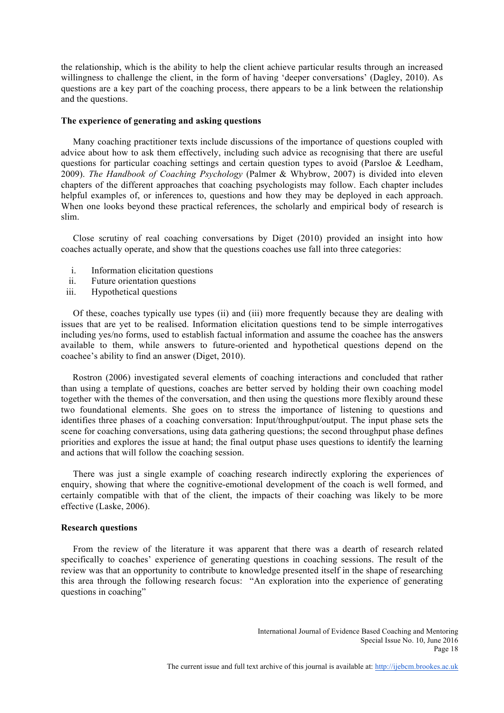the relationship, which is the ability to help the client achieve particular results through an increased willingness to challenge the client, in the form of having 'deeper conversations' (Dagley, 2010). As questions are a key part of the coaching process, there appears to be a link between the relationship and the questions.

## **The experience of generating and asking questions**

Many coaching practitioner texts include discussions of the importance of questions coupled with advice about how to ask them effectively, including such advice as recognising that there are useful questions for particular coaching settings and certain question types to avoid (Parsloe & Leedham, 2009). *The Handbook of Coaching Psychology* (Palmer & Whybrow, 2007) is divided into eleven chapters of the different approaches that coaching psychologists may follow. Each chapter includes helpful examples of, or inferences to, questions and how they may be deployed in each approach. When one looks beyond these practical references, the scholarly and empirical body of research is slim.

Close scrutiny of real coaching conversations by Diget (2010) provided an insight into how coaches actually operate, and show that the questions coaches use fall into three categories:

- i. Information elicitation questions
- ii. Future orientation questions
- iii. Hypothetical questions

Of these, coaches typically use types (ii) and (iii) more frequently because they are dealing with issues that are yet to be realised. Information elicitation questions tend to be simple interrogatives including yes/no forms, used to establish factual information and assume the coachee has the answers available to them, while answers to future-oriented and hypothetical questions depend on the coachee's ability to find an answer (Diget, 2010).

 Rostron (2006) investigated several elements of coaching interactions and concluded that rather than using a template of questions, coaches are better served by holding their own coaching model together with the themes of the conversation, and then using the questions more flexibly around these two foundational elements. She goes on to stress the importance of listening to questions and identifies three phases of a coaching conversation: Input/throughput/output. The input phase sets the scene for coaching conversations, using data gathering questions; the second throughput phase defines priorities and explores the issue at hand; the final output phase uses questions to identify the learning and actions that will follow the coaching session.

There was just a single example of coaching research indirectly exploring the experiences of enquiry, showing that where the cognitive-emotional development of the coach is well formed, and certainly compatible with that of the client, the impacts of their coaching was likely to be more effective (Laske, 2006).

#### **Research questions**

From the review of the literature it was apparent that there was a dearth of research related specifically to coaches' experience of generating questions in coaching sessions. The result of the review was that an opportunity to contribute to knowledge presented itself in the shape of researching this area through the following research focus: "An exploration into the experience of generating questions in coaching"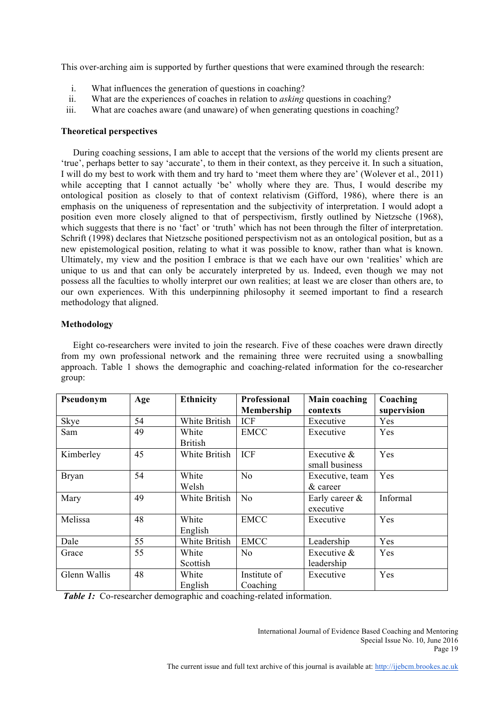This over-arching aim is supported by further questions that were examined through the research:

- i. What influences the generation of questions in coaching?
- ii. What are the experiences of coaches in relation to *asking* questions in coaching?
- iii. What are coaches aware (and unaware) of when generating questions in coaching?

# **Theoretical perspectives**

During coaching sessions, I am able to accept that the versions of the world my clients present are 'true', perhaps better to say 'accurate', to them in their context, as they perceive it. In such a situation, I will do my best to work with them and try hard to 'meet them where they are' (Wolever et al., 2011) while accepting that I cannot actually 'be' wholly where they are. Thus, I would describe my ontological position as closely to that of context relativism (Gifford, 1986), where there is an emphasis on the uniqueness of representation and the subjectivity of interpretation. I would adopt a position even more closely aligned to that of perspectivism, firstly outlined by Nietzsche (1968), which suggests that there is no 'fact' or 'truth' which has not been through the filter of interpretation. Schrift (1998) declares that Nietzsche positioned perspectivism not as an ontological position, but as a new epistemological position, relating to what it was possible to know, rather than what is known. Ultimately, my view and the position I embrace is that we each have our own 'realities' which are unique to us and that can only be accurately interpreted by us. Indeed, even though we may not possess all the faculties to wholly interpret our own realities; at least we are closer than others are, to our own experiences. With this underpinning philosophy it seemed important to find a research methodology that aligned.

# **Methodology**

Eight co-researchers were invited to join the research. Five of these coaches were drawn directly from my own professional network and the remaining three were recruited using a snowballing approach. Table 1 shows the demographic and coaching-related information for the co-researcher group:

| Pseudonym    | Age | <b>Ethnicity</b> | <b>Professional</b> | <b>Main coaching</b> | Coaching    |
|--------------|-----|------------------|---------------------|----------------------|-------------|
|              |     |                  | Membership          | contexts             | supervision |
| Skye         | 54  | White British    | <b>ICF</b>          | Executive            | Yes         |
| Sam          | 49  | White            | <b>EMCC</b>         | Executive            | Yes         |
|              |     | <b>British</b>   |                     |                      |             |
| Kimberley    | 45  | White British    | <b>ICF</b>          | Executive $&$        | Yes         |
|              |     |                  |                     | small business       |             |
| <b>Bryan</b> | 54  | White            | N <sub>0</sub>      | Executive, team      | Yes         |
|              |     | Welsh            |                     | & career             |             |
| Mary         | 49  | White British    | N <sub>0</sub>      | Early career $\&$    | Informal    |
|              |     |                  |                     | executive            |             |
| Melissa      | 48  | White            | <b>EMCC</b>         | Executive            | Yes         |
|              |     | English          |                     |                      |             |
| Dale         | 55  | White British    | <b>EMCC</b>         | Leadership           | Yes         |
| Grace        | 55  | White            | N <sub>0</sub>      | Executive $\&$       | Yes         |
|              |     | Scottish         |                     | leadership           |             |
| Glenn Wallis | 48  | White            | Institute of        | Executive            | Yes         |
|              |     | English          | Coaching            |                      |             |

*Table 1:* Co-researcher demographic and coaching-related information.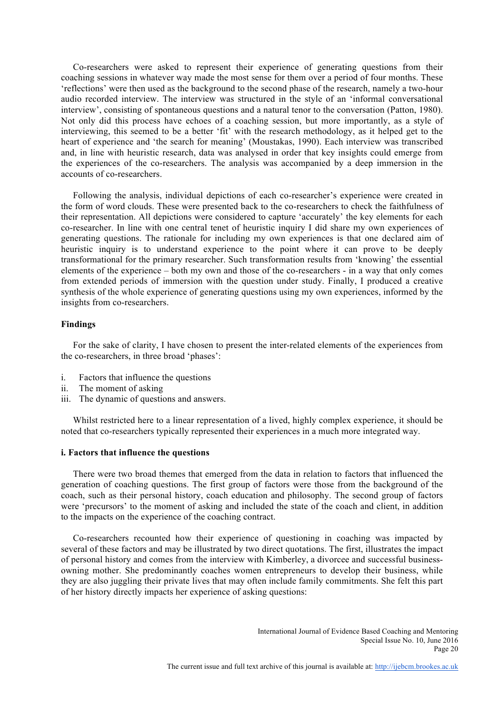Co-researchers were asked to represent their experience of generating questions from their coaching sessions in whatever way made the most sense for them over a period of four months. These 'reflections' were then used as the background to the second phase of the research, namely a two-hour audio recorded interview. The interview was structured in the style of an 'informal conversational interview', consisting of spontaneous questions and a natural tenor to the conversation (Patton, 1980). Not only did this process have echoes of a coaching session, but more importantly, as a style of interviewing, this seemed to be a better 'fit' with the research methodology, as it helped get to the heart of experience and 'the search for meaning' (Moustakas, 1990). Each interview was transcribed and, in line with heuristic research, data was analysed in order that key insights could emerge from the experiences of the co-researchers. The analysis was accompanied by a deep immersion in the accounts of co-researchers.

Following the analysis, individual depictions of each co-researcher's experience were created in the form of word clouds. These were presented back to the co-researchers to check the faithfulness of their representation. All depictions were considered to capture 'accurately' the key elements for each co-researcher. In line with one central tenet of heuristic inquiry I did share my own experiences of generating questions. The rationale for including my own experiences is that one declared aim of heuristic inquiry is to understand experience to the point where it can prove to be deeply transformational for the primary researcher. Such transformation results from 'knowing' the essential elements of the experience – both my own and those of the co-researchers - in a way that only comes from extended periods of immersion with the question under study. Finally, I produced a creative synthesis of the whole experience of generating questions using my own experiences, informed by the insights from co-researchers.

## **Findings**

For the sake of clarity, I have chosen to present the inter-related elements of the experiences from the co-researchers, in three broad 'phases':

- i. Factors that influence the questions
- ii. The moment of asking
- iii. The dynamic of questions and answers.

Whilst restricted here to a linear representation of a lived, highly complex experience, it should be noted that co-researchers typically represented their experiences in a much more integrated way.

#### **i. Factors that influence the questions**

There were two broad themes that emerged from the data in relation to factors that influenced the generation of coaching questions. The first group of factors were those from the background of the coach, such as their personal history, coach education and philosophy. The second group of factors were 'precursors' to the moment of asking and included the state of the coach and client, in addition to the impacts on the experience of the coaching contract.

Co-researchers recounted how their experience of questioning in coaching was impacted by several of these factors and may be illustrated by two direct quotations. The first, illustrates the impact of personal history and comes from the interview with Kimberley, a divorcee and successful businessowning mother. She predominantly coaches women entrepreneurs to develop their business, while they are also juggling their private lives that may often include family commitments. She felt this part of her history directly impacts her experience of asking questions: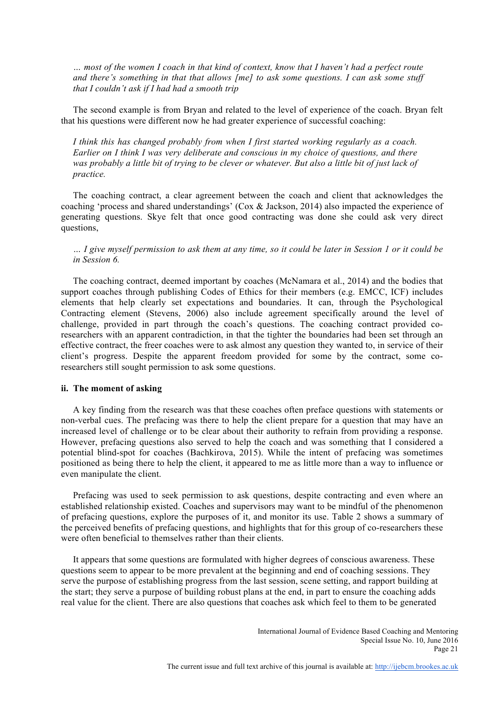*… most of the women I coach in that kind of context, know that I haven't had a perfect route and there's something in that that allows [me] to ask some questions. I can ask some stuff that I couldn't ask if I had had a smooth trip*

The second example is from Bryan and related to the level of experience of the coach. Bryan felt that his questions were different now he had greater experience of successful coaching:

*I think this has changed probably from when I first started working regularly as a coach. Earlier on I think I was very deliberate and conscious in my choice of questions, and there*  was probably a little bit of trying to be clever or whatever. But also a little bit of just lack of *practice.*

The coaching contract, a clear agreement between the coach and client that acknowledges the coaching 'process and shared understandings' (Cox & Jackson, 2014) also impacted the experience of generating questions. Skye felt that once good contracting was done she could ask very direct questions,

*… I give myself permission to ask them at any time, so it could be later in Session 1 or it could be in Session 6.*

The coaching contract, deemed important by coaches (McNamara et al., 2014) and the bodies that support coaches through publishing Codes of Ethics for their members (e.g. EMCC, ICF) includes elements that help clearly set expectations and boundaries. It can, through the Psychological Contracting element (Stevens, 2006) also include agreement specifically around the level of challenge, provided in part through the coach's questions. The coaching contract provided coresearchers with an apparent contradiction, in that the tighter the boundaries had been set through an effective contract, the freer coaches were to ask almost any question they wanted to, in service of their client's progress. Despite the apparent freedom provided for some by the contract, some coresearchers still sought permission to ask some questions.

## **ii. The moment of asking**

A key finding from the research was that these coaches often preface questions with statements or non-verbal cues. The prefacing was there to help the client prepare for a question that may have an increased level of challenge or to be clear about their authority to refrain from providing a response. However, prefacing questions also served to help the coach and was something that I considered a potential blind-spot for coaches (Bachkirova, 2015). While the intent of prefacing was sometimes positioned as being there to help the client, it appeared to me as little more than a way to influence or even manipulate the client.

Prefacing was used to seek permission to ask questions, despite contracting and even where an established relationship existed. Coaches and supervisors may want to be mindful of the phenomenon of prefacing questions, explore the purposes of it, and monitor its use. Table 2 shows a summary of the perceived benefits of prefacing questions, and highlights that for this group of co-researchers these were often beneficial to themselves rather than their clients.

It appears that some questions are formulated with higher degrees of conscious awareness. These questions seem to appear to be more prevalent at the beginning and end of coaching sessions. They serve the purpose of establishing progress from the last session, scene setting, and rapport building at the start; they serve a purpose of building robust plans at the end, in part to ensure the coaching adds real value for the client. There are also questions that coaches ask which feel to them to be generated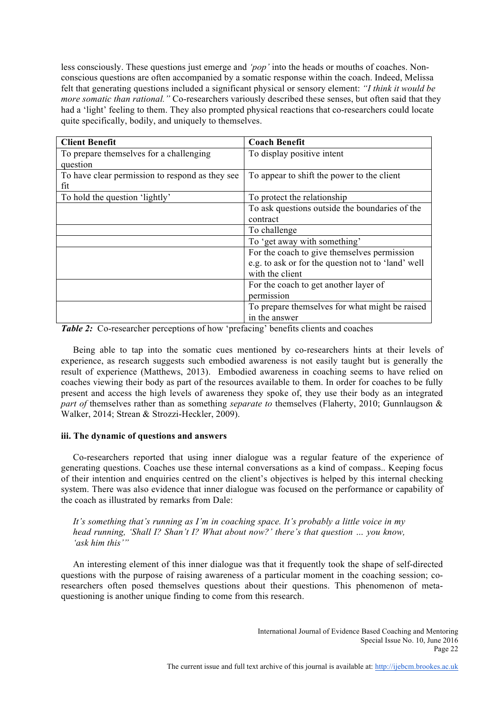less consciously. These questions just emerge and *'pop'* into the heads or mouths of coaches. Nonconscious questions are often accompanied by a somatic response within the coach. Indeed, Melissa felt that generating questions included a significant physical or sensory element: *"I think it would be more somatic than rational.*" Co-researchers variously described these senses, but often said that they had a 'light' feeling to them. They also prompted physical reactions that co-researchers could locate quite specifically, bodily, and uniquely to themselves.

| <b>Client Benefit</b>                           | <b>Coach Benefit</b>                               |  |  |
|-------------------------------------------------|----------------------------------------------------|--|--|
| To prepare themselves for a challenging         | To display positive intent                         |  |  |
| question                                        |                                                    |  |  |
| To have clear permission to respond as they see | To appear to shift the power to the client         |  |  |
| fit                                             |                                                    |  |  |
| To hold the question 'lightly'                  | To protect the relationship                        |  |  |
|                                                 | To ask questions outside the boundaries of the     |  |  |
|                                                 | contract                                           |  |  |
|                                                 | To challenge                                       |  |  |
|                                                 | To 'get away with something'                       |  |  |
|                                                 | For the coach to give themselves permission        |  |  |
|                                                 | e.g. to ask or for the question not to 'land' well |  |  |
|                                                 | with the client                                    |  |  |
|                                                 | For the coach to get another layer of              |  |  |
|                                                 | permission                                         |  |  |
|                                                 | To prepare themselves for what might be raised     |  |  |
|                                                 | in the answer                                      |  |  |

*Table 2:* Co-researcher perceptions of how 'prefacing' benefits clients and coaches

Being able to tap into the somatic cues mentioned by co-researchers hints at their levels of experience, as research suggests such embodied awareness is not easily taught but is generally the result of experience (Matthews, 2013). Embodied awareness in coaching seems to have relied on coaches viewing their body as part of the resources available to them. In order for coaches to be fully present and access the high levels of awareness they spoke of, they use their body as an integrated *part of* themselves rather than as something *separate to* themselves (Flaherty, 2010; Gunnlaugson & Walker, 2014; Strean & Strozzi-Heckler, 2009).

# **iii. The dynamic of questions and answers**

Co-researchers reported that using inner dialogue was a regular feature of the experience of generating questions. Coaches use these internal conversations as a kind of compass.. Keeping focus of their intention and enquiries centred on the client's objectives is helped by this internal checking system. There was also evidence that inner dialogue was focused on the performance or capability of the coach as illustrated by remarks from Dale:

*It's something that's running as I'm in coaching space. It's probably a little voice in my head running, 'Shall I? Shan't I? What about now?' there's that question … you know, 'ask him this'"*

An interesting element of this inner dialogue was that it frequently took the shape of self-directed questions with the purpose of raising awareness of a particular moment in the coaching session; coresearchers often posed themselves questions about their questions. This phenomenon of metaquestioning is another unique finding to come from this research.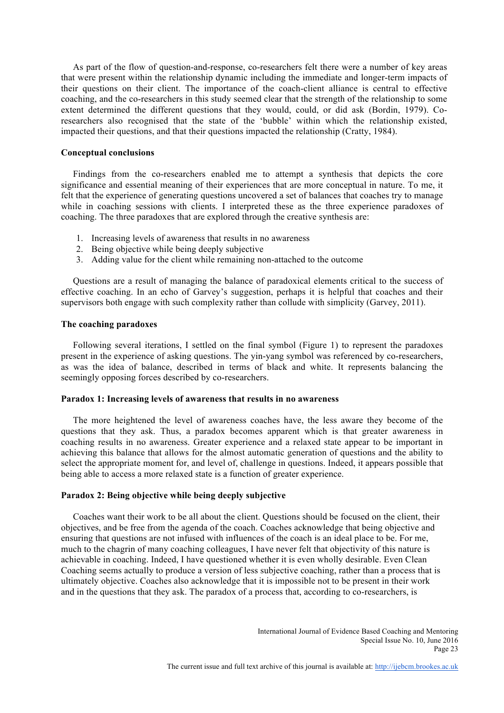As part of the flow of question-and-response, co-researchers felt there were a number of key areas that were present within the relationship dynamic including the immediate and longer-term impacts of their questions on their client. The importance of the coach-client alliance is central to effective coaching, and the co-researchers in this study seemed clear that the strength of the relationship to some extent determined the different questions that they would, could, or did ask (Bordin, 1979). Coresearchers also recognised that the state of the 'bubble' within which the relationship existed, impacted their questions, and that their questions impacted the relationship (Cratty, 1984).

# **Conceptual conclusions**

Findings from the co-researchers enabled me to attempt a synthesis that depicts the core significance and essential meaning of their experiences that are more conceptual in nature. To me, it felt that the experience of generating questions uncovered a set of balances that coaches try to manage while in coaching sessions with clients. I interpreted these as the three experience paradoxes of coaching. The three paradoxes that are explored through the creative synthesis are:

- 1. Increasing levels of awareness that results in no awareness
- 2. Being objective while being deeply subjective
- 3. Adding value for the client while remaining non-attached to the outcome

Questions are a result of managing the balance of paradoxical elements critical to the success of effective coaching. In an echo of Garvey's suggestion, perhaps it is helpful that coaches and their supervisors both engage with such complexity rather than collude with simplicity (Garvey, 2011).

### **The coaching paradoxes**

Following several iterations, I settled on the final symbol (Figure 1) to represent the paradoxes present in the experience of asking questions. The yin-yang symbol was referenced by co-researchers, as was the idea of balance, described in terms of black and white. It represents balancing the seemingly opposing forces described by co-researchers.

# **Paradox 1: Increasing levels of awareness that results in no awareness**

The more heightened the level of awareness coaches have, the less aware they become of the questions that they ask. Thus, a paradox becomes apparent which is that greater awareness in coaching results in no awareness. Greater experience and a relaxed state appear to be important in achieving this balance that allows for the almost automatic generation of questions and the ability to select the appropriate moment for, and level of, challenge in questions. Indeed, it appears possible that being able to access a more relaxed state is a function of greater experience.

# **Paradox 2: Being objective while being deeply subjective**

Coaches want their work to be all about the client. Questions should be focused on the client, their objectives, and be free from the agenda of the coach. Coaches acknowledge that being objective and ensuring that questions are not infused with influences of the coach is an ideal place to be. For me, much to the chagrin of many coaching colleagues, I have never felt that objectivity of this nature is achievable in coaching. Indeed, I have questioned whether it is even wholly desirable. Even Clean Coaching seems actually to produce a version of less subjective coaching, rather than a process that is ultimately objective. Coaches also acknowledge that it is impossible not to be present in their work and in the questions that they ask. The paradox of a process that, according to co-researchers, is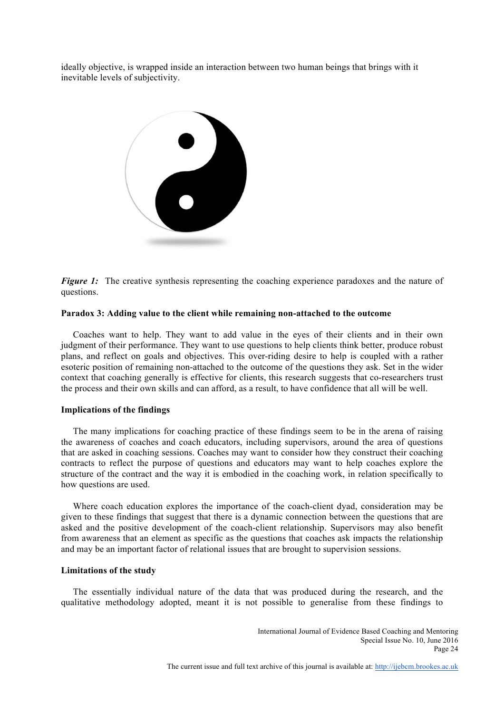ideally objective, is wrapped inside an interaction between two human beings that brings with it inevitable levels of subjectivity.



*Figure 1:* The creative synthesis representing the coaching experience paradoxes and the nature of questions.

### **Paradox 3: Adding value to the client while remaining non-attached to the outcome**

Coaches want to help. They want to add value in the eyes of their clients and in their own judgment of their performance. They want to use questions to help clients think better, produce robust plans, and reflect on goals and objectives. This over-riding desire to help is coupled with a rather esoteric position of remaining non-attached to the outcome of the questions they ask. Set in the wider context that coaching generally is effective for clients, this research suggests that co-researchers trust the process and their own skills and can afford, as a result, to have confidence that all will be well.

## **Implications of the findings**

The many implications for coaching practice of these findings seem to be in the arena of raising the awareness of coaches and coach educators, including supervisors, around the area of questions that are asked in coaching sessions. Coaches may want to consider how they construct their coaching contracts to reflect the purpose of questions and educators may want to help coaches explore the structure of the contract and the way it is embodied in the coaching work, in relation specifically to how questions are used.

Where coach education explores the importance of the coach-client dyad, consideration may be given to these findings that suggest that there is a dynamic connection between the questions that are asked and the positive development of the coach-client relationship. Supervisors may also benefit from awareness that an element as specific as the questions that coaches ask impacts the relationship and may be an important factor of relational issues that are brought to supervision sessions.

## **Limitations of the study**

The essentially individual nature of the data that was produced during the research, and the qualitative methodology adopted, meant it is not possible to generalise from these findings to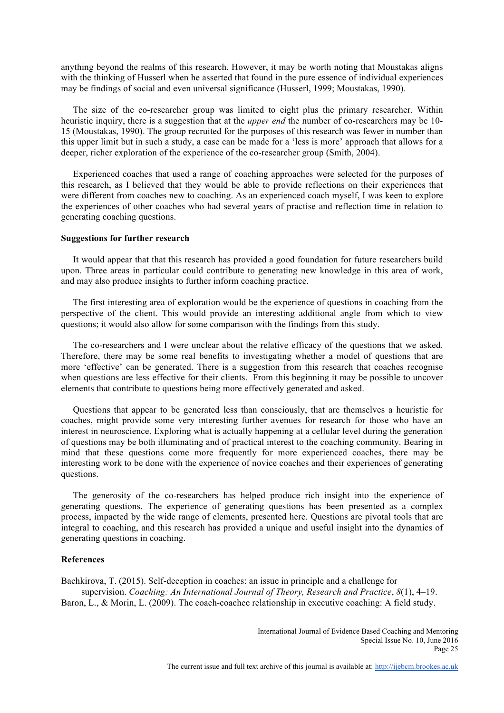anything beyond the realms of this research. However, it may be worth noting that Moustakas aligns with the thinking of Husserl when he asserted that found in the pure essence of individual experiences may be findings of social and even universal significance (Husserl, 1999; Moustakas, 1990).

The size of the co-researcher group was limited to eight plus the primary researcher. Within heuristic inquiry, there is a suggestion that at the *upper end* the number of co-researchers may be 10- 15 (Moustakas, 1990). The group recruited for the purposes of this research was fewer in number than this upper limit but in such a study, a case can be made for a 'less is more' approach that allows for a deeper, richer exploration of the experience of the co-researcher group (Smith, 2004).

Experienced coaches that used a range of coaching approaches were selected for the purposes of this research, as I believed that they would be able to provide reflections on their experiences that were different from coaches new to coaching. As an experienced coach myself, I was keen to explore the experiences of other coaches who had several years of practise and reflection time in relation to generating coaching questions.

#### **Suggestions for further research**

It would appear that that this research has provided a good foundation for future researchers build upon. Three areas in particular could contribute to generating new knowledge in this area of work, and may also produce insights to further inform coaching practice.

The first interesting area of exploration would be the experience of questions in coaching from the perspective of the client. This would provide an interesting additional angle from which to view questions; it would also allow for some comparison with the findings from this study.

The co-researchers and I were unclear about the relative efficacy of the questions that we asked. Therefore, there may be some real benefits to investigating whether a model of questions that are more 'effective' can be generated. There is a suggestion from this research that coaches recognise when questions are less effective for their clients. From this beginning it may be possible to uncover elements that contribute to questions being more effectively generated and asked.

Questions that appear to be generated less than consciously, that are themselves a heuristic for coaches, might provide some very interesting further avenues for research for those who have an interest in neuroscience. Exploring what is actually happening at a cellular level during the generation of questions may be both illuminating and of practical interest to the coaching community. Bearing in mind that these questions come more frequently for more experienced coaches, there may be interesting work to be done with the experience of novice coaches and their experiences of generating questions.

The generosity of the co-researchers has helped produce rich insight into the experience of generating questions. The experience of generating questions has been presented as a complex process, impacted by the wide range of elements, presented here. Questions are pivotal tools that are integral to coaching, and this research has provided a unique and useful insight into the dynamics of generating questions in coaching.

#### **References**

Bachkirova, T. (2015). Self-deception in coaches: an issue in principle and a challenge for supervision. *Coaching: An International Journal of Theory, Research and Practice*, *8*(1), 4–19. Baron, L., & Morin, L. (2009). The coach-coachee relationship in executive coaching: A field study.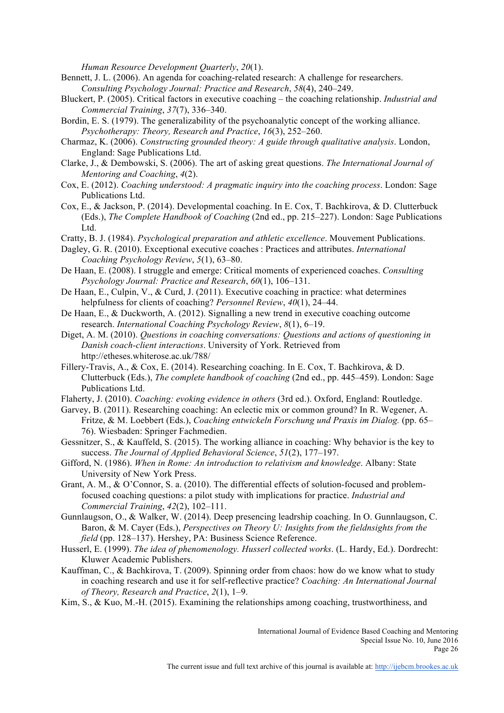*Human Resource Development Quarterly*, *20*(1).

- Bennett, J. L. (2006). An agenda for coaching-related research: A challenge for researchers. *Consulting Psychology Journal: Practice and Research*, *58*(4), 240–249.
- Bluckert, P. (2005). Critical factors in executive coaching the coaching relationship. *Industrial and Commercial Training*, *37*(7), 336–340.
- Bordin, E. S. (1979). The generalizability of the psychoanalytic concept of the working alliance. *Psychotherapy: Theory, Research and Practice*, *16*(3), 252–260.
- Charmaz, K. (2006). *Constructing grounded theory: A guide through qualitative analysis*. London, England: Sage Publications Ltd.
- Clarke, J., & Dembowski, S. (2006). The art of asking great questions. *The International Journal of Mentoring and Coaching*, *4*(2).
- Cox, E. (2012). *Coaching understood: A pragmatic inquiry into the coaching process*. London: Sage Publications Ltd.
- Cox, E., & Jackson, P. (2014). Developmental coaching. In E. Cox, T. Bachkirova, & D. Clutterbuck (Eds.), *The Complete Handbook of Coaching* (2nd ed., pp. 215–227). London: Sage Publications Ltd.
- Cratty, B. J. (1984). *Psychological preparation and athletic excellence*. Mouvement Publications.
- Dagley, G. R. (2010). Exceptional executive coaches : Practices and attributes. *International Coaching Psychology Review*, *5*(1), 63–80.
- De Haan, E. (2008). I struggle and emerge: Critical moments of experienced coaches. *Consulting Psychology Journal: Practice and Research*, *60*(1), 106–131.
- De Haan, E., Culpin, V., & Curd, J. (2011). Executive coaching in practice: what determines helpfulness for clients of coaching? *Personnel Review*, *40*(1), 24–44.
- De Haan, E., & Duckworth, A. (2012). Signalling a new trend in executive coaching outcome research. *International Coaching Psychology Review*, *8*(1), 6–19.
- Diget, A. M. (2010). *Questions in coaching conversations: Questions and actions of questioning in Danish coach-client interactions*. University of York. Retrieved from http://etheses.whiterose.ac.uk/788/
- Fillery-Travis, A., & Cox, E. (2014). Researching coaching. In E. Cox, T. Bachkirova, & D. Clutterbuck (Eds.), *The complete handbook of coaching* (2nd ed., pp. 445–459). London: Sage Publications Ltd.
- Flaherty, J. (2010). *Coaching: evoking evidence in others* (3rd ed.). Oxford, England: Routledge.
- Garvey, B. (2011). Researching coaching: An eclectic mix or common ground? In R. Wegener, A. Fritze, & M. Loebbert (Eds.), *Coaching entwickeln Forschung und Praxis im Dialog.* (pp. 65– 76). Wiesbaden: Springer Fachmedien.
- Gessnitzer, S., & Kauffeld, S. (2015). The working alliance in coaching: Why behavior is the key to success. *The Journal of Applied Behavioral Science*, *51*(2), 177–197.
- Gifford, N. (1986). *When in Rome: An introduction to relativism and knowledge*. Albany: State University of New York Press.
- Grant, A. M., & O'Connor, S. a. (2010). The differential effects of solution-focused and problemfocused coaching questions: a pilot study with implications for practice. *Industrial and Commercial Training*, *42*(2), 102–111.
- Gunnlaugson, O., & Walker, W. (2014). Deep presencing leadrship coaching. In O. Gunnlaugson, C. Baron, & M. Cayer (Eds.), *Perspectives on Theory U: Insights from the fieldnsights from the field* (pp. 128–137). Hershey, PA: Business Science Reference.
- Husserl, E. (1999). *The idea of phenomenology. Husserl collected works*. (L. Hardy, Ed.). Dordrecht: Kluwer Academic Publishers.
- Kauffman, C., & Bachkirova, T. (2009). Spinning order from chaos: how do we know what to study in coaching research and use it for self-reflective practice? *Coaching: An International Journal of Theory, Research and Practice*, *2*(1), 1–9.
- Kim, S., & Kuo, M.-H. (2015). Examining the relationships among coaching, trustworthiness, and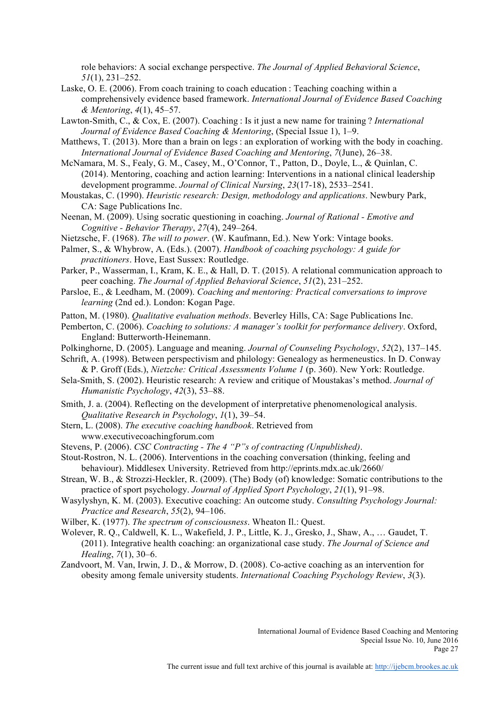role behaviors: A social exchange perspective. *The Journal of Applied Behavioral Science*, *51*(1), 231–252.

- Laske, O. E. (2006). From coach training to coach education : Teaching coaching within a comprehensively evidence based framework. *International Journal of Evidence Based Coaching & Mentoring*, *4*(1), 45–57.
- Lawton-Smith, C., & Cox, E. (2007). Coaching : Is it just a new name for training ? *International Journal of Evidence Based Coaching & Mentoring*, (Special Issue 1), 1–9.
- Matthews, T. (2013). More than a brain on legs : an exploration of working with the body in coaching. *International Journal of Evidence Based Coaching and Mentoring*, *7*(June), 26–38.
- McNamara, M. S., Fealy, G. M., Casey, M., O'Connor, T., Patton, D., Doyle, L., & Quinlan, C. (2014). Mentoring, coaching and action learning: Interventions in a national clinical leadership development programme. *Journal of Clinical Nursing*, *23*(17-18), 2533–2541.
- Moustakas, C. (1990). *Heuristic research: Design, methodology and applications*. Newbury Park, CA: Sage Publications Inc.
- Neenan, M. (2009). Using socratic questioning in coaching. *Journal of Rational - Emotive and Cognitive - Behavior Therapy*, *27*(4), 249–264.
- Nietzsche, F. (1968). *The will to power*. (W. Kaufmann, Ed.). New York: Vintage books.
- Palmer, S., & Whybrow, A. (Eds.). (2007). *Handbook of coaching psychology: A guide for practitioners*. Hove, East Sussex: Routledge.
- Parker, P., Wasserman, I., Kram, K. E., & Hall, D. T. (2015). A relational communication approach to peer coaching. *The Journal of Applied Behavioral Science*, *51*(2), 231–252.
- Parsloe, E., & Leedham, M. (2009). *Coaching and mentoring: Practical conversations to improve learning* (2nd ed.). London: Kogan Page.
- Patton, M. (1980). *Qualitative evaluation methods*. Beverley Hills, CA: Sage Publications Inc.
- Pemberton, C. (2006). *Coaching to solutions: A manager's toolkit for performance delivery*. Oxford, England: Butterworth-Heinemann.
- Polkinghorne, D. (2005). Language and meaning. *Journal of Counseling Psychology*, *52*(2), 137–145.
- Schrift, A. (1998). Between perspectivism and philology: Genealogy as hermeneustics. In D. Conway & P. Groff (Eds.), *Nietzche: Critical Assessments Volume 1* (p. 360). New York: Routledge.
- Sela-Smith, S. (2002). Heuristic research: A review and critique of Moustakas's method. *Journal of Humanistic Psychology*, *42*(3), 53–88.
- Smith, J. a. (2004). Reflecting on the development of interpretative phenomenological analysis. *Qualitative Research in Psychology*, *1*(1), 39–54.
- Stern, L. (2008). *The executive coaching handbook*. Retrieved from www.executivecoachingforum.com

Stevens, P. (2006). *CSC Contracting - The 4 "P"s of contracting (Unpublished)*.

- Stout-Rostron, N. L. (2006). Interventions in the coaching conversation (thinking, feeling and behaviour). Middlesex University. Retrieved from http://eprints.mdx.ac.uk/2660/
- Strean, W. B., & Strozzi-Heckler, R. (2009). (The) Body (of) knowledge: Somatic contributions to the practice of sport psychology. *Journal of Applied Sport Psychology*, *21*(1), 91–98.
- Wasylyshyn, K. M. (2003). Executive coaching: An outcome study. *Consulting Psychology Journal: Practice and Research*, *55*(2), 94–106.
- Wilber, K. (1977). *The spectrum of consciousness*. Wheaton Il.: Quest.
- Wolever, R. Q., Caldwell, K. L., Wakefield, J. P., Little, K. J., Gresko, J., Shaw, A., … Gaudet, T. (2011). Integrative health coaching: an organizational case study. *The Journal of Science and Healing*, *7*(1), 30–6.
- Zandvoort, M. Van, Irwin, J. D., & Morrow, D. (2008). Co-active coaching as an intervention for obesity among female university students. *International Coaching Psychology Review*, *3*(3).

International Journal of Evidence Based Coaching and Mentoring Special Issue No. 10, June 2016 Page 27